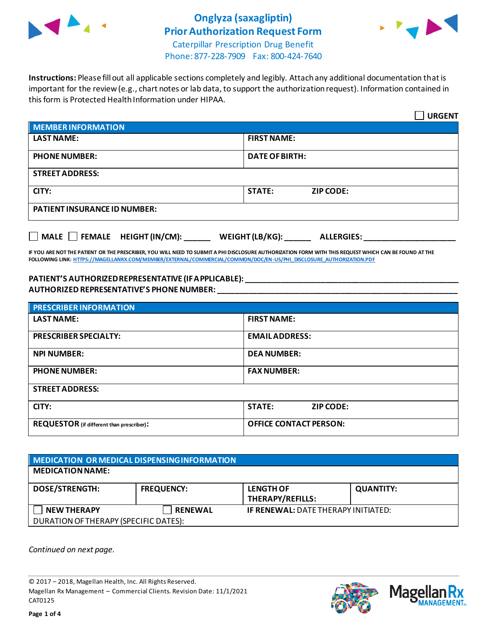

### **Onglyza (saxagliptin) Prior Authorization Request Form**



Caterpillar Prescription Drug Benefit Phone: 877-228-7909 Fax: 800-424-7640

**Instructions:** Please fill out all applicable sections completely and legibly. Attach any additional documentation that is important for the review (e.g., chart notes or lab data, to support the authorization request). Information contained in this form is Protected Health Information under HIPAA.

|                                                                                   | <b>URGENT</b>                     |  |  |  |
|-----------------------------------------------------------------------------------|-----------------------------------|--|--|--|
| <b>MEMBER INFORMATION</b>                                                         |                                   |  |  |  |
| <b>LAST NAME:</b>                                                                 | <b>FIRST NAME:</b>                |  |  |  |
| <b>PHONE NUMBER:</b>                                                              | <b>DATE OF BIRTH:</b>             |  |  |  |
| <b>STREET ADDRESS:</b>                                                            |                                   |  |  |  |
| CITY:                                                                             | <b>STATE:</b><br><b>ZIP CODE:</b> |  |  |  |
| <b>PATIENT INSURANCE ID NUMBER:</b>                                               |                                   |  |  |  |
| $\Box$ MALE $\Box$ FEMALE HEIGHT (IN/CM):<br>WEIGHT (LB/KG):<br><b>ALLERGIES:</b> |                                   |  |  |  |

**IF YOU ARE NOT THE PATIENT OR THE PRESCRIBER, YOU WILL NEED TO SUBMIT A PHI DISCLOSURE AUTHORIZATION FORM WITH THIS REQUEST WHICH CAN BE FOUND AT THE FOLLOWING LINK[: HTTPS://MAGELLANRX.COM/MEMBER/EXTERNAL/COMMERCIAL/COMMON/DOC/EN-US/PHI\\_DISCLOSURE\\_AUTHORIZATION.PDF](https://magellanrx.com/member/external/commercial/common/doc/en-us/PHI_Disclosure_Authorization.pdf)**

#### **PATIENT'S AUTHORIZED REPRESENTATIVE (IF APPLICABLE): \_\_\_\_\_\_\_\_\_\_\_\_\_\_\_\_\_\_\_\_\_\_\_\_\_\_\_\_\_\_\_\_\_\_\_\_\_\_\_\_\_\_\_\_\_\_\_\_\_ AUTHORIZED REPRESENTATIVE'S PHONE NUMBER: \_\_\_\_\_\_\_\_\_\_\_\_\_\_\_\_\_\_\_\_\_\_\_\_\_\_\_\_\_\_\_\_\_\_\_\_\_\_\_\_\_\_\_\_\_\_\_\_\_\_\_\_\_\_\_**

| <b>PRESCRIBER INFORMATION</b>             |                               |  |
|-------------------------------------------|-------------------------------|--|
| <b>LAST NAME:</b>                         | <b>FIRST NAME:</b>            |  |
| <b>PRESCRIBER SPECIALTY:</b>              | <b>EMAIL ADDRESS:</b>         |  |
| <b>NPI NUMBER:</b>                        | <b>DEA NUMBER:</b>            |  |
| <b>PHONE NUMBER:</b>                      | <b>FAX NUMBER:</b>            |  |
| <b>STREET ADDRESS:</b>                    |                               |  |
| CITY:                                     | <b>STATE:</b><br>ZIP CODE:    |  |
| REQUESTOR (if different than prescriber): | <b>OFFICE CONTACT PERSON:</b> |  |

| MEDICATION OR MEDICAL DISPENSING INFORMATION |                   |                                             |                  |  |  |
|----------------------------------------------|-------------------|---------------------------------------------|------------------|--|--|
| <b>MEDICATION NAME:</b>                      |                   |                                             |                  |  |  |
| <b>DOSE/STRENGTH:</b>                        | <b>FREQUENCY:</b> | <b>LENGTH OF</b><br><b>THERAPY/REFILLS:</b> | <b>QUANTITY:</b> |  |  |
| <b>NEW THERAPY</b>                           | <b>RENEWAL</b>    | <b>IF RENEWAL: DATE THERAPY INITIATED:</b>  |                  |  |  |
| DURATION OF THERAPY (SPECIFIC DATES):        |                   |                                             |                  |  |  |

*Continued on next page.*

© 2017 – 2018, Magellan Health, Inc. All Rights Reserved. Magellan Rx Management – Commercial Clients. Revision Date: 11/1/2021 CAT0125



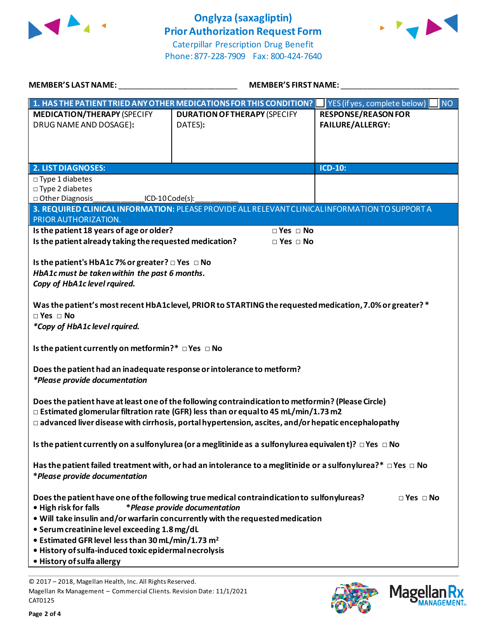

## **Onglyza (saxagliptin) Prior Authorization Request Form**



Caterpillar Prescription Drug Benefit Phone: 877-228-7909 Fax: 800-424-7640

| <b>MEMBER'S LAST NAME:</b>                                                                                                                                                                      | <b>MEMBER'S FIRST NAME:</b>                                                                                          |                                                                                             |  |  |
|-------------------------------------------------------------------------------------------------------------------------------------------------------------------------------------------------|----------------------------------------------------------------------------------------------------------------------|---------------------------------------------------------------------------------------------|--|--|
| <b>MEDICATION/THERAPY (SPECIFY</b><br>DRUG NAME AND DOSAGE):                                                                                                                                    | 1. HAS THE PATIENT TRIED ANY OTHER MEDICATIONS FOR THIS CONDITION?<br><b>DURATION OF THERAPY (SPECIFY</b><br>DATES): | <b>NO</b><br>YES (if yes, complete below)<br><b>RESPONSE/REASON FOR</b><br>FAILURE/ALLERGY: |  |  |
| <b>2. LIST DIAGNOSES:</b>                                                                                                                                                                       |                                                                                                                      | <b>ICD-10:</b>                                                                              |  |  |
| $\Box$ Type 1 diabetes<br>□ Type 2 diabetes<br>□ Other Diagnosis<br>$ICD-10 Code(s):$<br>PRIOR AUTHORIZATION.                                                                                   | 3. REQUIRED CLINICAL INFORMATION: PLEASE PROVIDE ALL RELEVANT CLINICAL INFORMATION TO SUPPORT A                      |                                                                                             |  |  |
| Is the patient 18 years of age or older?                                                                                                                                                        | $\Box$ Yes $\Box$ No                                                                                                 |                                                                                             |  |  |
| Is the patient already taking the requested medication?                                                                                                                                         | $\square$ Yes $\square$ No                                                                                           |                                                                                             |  |  |
| Is the patient's HbA1c 7% or greater? $\Box$ Yes $\Box$ No<br>HbA1c must be taken within the past 6 months.<br>Copy of HbA1c level rquired.                                                     |                                                                                                                      |                                                                                             |  |  |
|                                                                                                                                                                                                 | Was the patient's most recent HbA1clevel, PRIOR to STARTING the requested medication, 7.0% or greater? *             |                                                                                             |  |  |
| $\square$ Yes $\square$ No                                                                                                                                                                      |                                                                                                                      |                                                                                             |  |  |
| *Copy of HbA1c level rquired.                                                                                                                                                                   |                                                                                                                      |                                                                                             |  |  |
| Is the patient currently on metformin?* □ Yes □ No                                                                                                                                              |                                                                                                                      |                                                                                             |  |  |
| Does the patient had an inadequate response or intolerance to metform?<br>*Please provide documentation                                                                                         |                                                                                                                      |                                                                                             |  |  |
| Does the patient have at least one of the following contraindication to metformin? (Please Circle)<br>$\Box$ Estimated glomerular filtration rate (GFR) less than or equal to 45 mL/min/1.73 m2 |                                                                                                                      |                                                                                             |  |  |
| $\Box$ advanced liver disease with cirrhosis, portal hypertension, ascites, and/or hepatic encephalopathy                                                                                       |                                                                                                                      |                                                                                             |  |  |
| Is the patient currently on a sulfonylurea (or a meglitinide as a sulfonylurea equivalent)? $\Box$ Yes $\Box$ No                                                                                |                                                                                                                      |                                                                                             |  |  |
| Has the patient failed treatment with, or had an intolerance to a meglitinide or a sulfonylurea?* $\Box$ Yes $\Box$ No<br>*Please provide documentation                                         |                                                                                                                      |                                                                                             |  |  |
| Does the patient have one of the following true medical contraindication to sulfonylureas?<br>$\Box$ Yes $\Box$ No<br>*Please provide documentation<br>• High risk for falls                    |                                                                                                                      |                                                                                             |  |  |
| . Will take insulin and/or warfarin concurrently with the requested medication                                                                                                                  |                                                                                                                      |                                                                                             |  |  |
| • Serum creatinine level exceeding 1.8 mg/dL                                                                                                                                                    |                                                                                                                      |                                                                                             |  |  |
| • Estimated GFR level less than 30 mL/min/1.73 m <sup>2</sup><br>· History of sulfa-induced toxic epidermal necrolysis                                                                          |                                                                                                                      |                                                                                             |  |  |
| • History of sulfa allergy                                                                                                                                                                      |                                                                                                                      |                                                                                             |  |  |
|                                                                                                                                                                                                 |                                                                                                                      |                                                                                             |  |  |

© 2017 – 2018, Magellan Health, Inc. All Rights Reserved. Magellan Rx Management – Commercial Clients. Revision Date: 11/1/2021 CAT0125



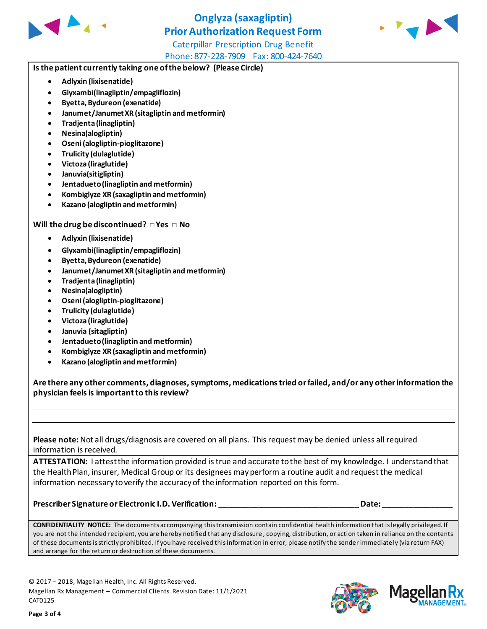

# **Onglyza (saxagliptin) Prior Authorization Request Form**



Caterpillar Prescription Drug Benefit Phone: 877-228-7909 Fax: 800-424-7640

#### **Is the patient currently taking one of the below? (Please Circle)**

- **Adlyxin (lixisenatide)**
- **Glyxambi(linagliptin/empagliflozin)**
- **Byetta, Bydureon (exenatide)**
- **Janumet/Janumet XR (sitagliptin and metformin)**
- **Tradjenta (linagliptin)**
- **Nesina(alogliptin)**
- **Oseni (alogliptin-pioglitazone)**
- **Trulicity (dulaglutide)**
- **Victoza (liraglutide)**
- **Januvia(sitigliptin)**
- **Jentadueto(linagliptin and metformin)**
- **Kombiglyze XR (saxagliptin and metformin)**
- **Kazano (alogliptin and metformin)**

#### **Will the drug be discontinued? □ Yes □ No**

- **Adlyxin (lixisenatide)**
- **Glyxambi(linagliptin/empagliflozin)**
- **Byetta, Bydureon (exenatide)**
- **Janumet/Janumet XR (sitagliptin and metformin)**
- **Tradjenta (linagliptin)**
- **Nesina(alogliptin)**
- **Oseni (alogliptin-pioglitazone)**
- **Trulicity (dulaglutide)**
- **Victoza (liraglutide)**
- **Januvia (sitagliptin)**
- **Jentadueto (linagliptin and metformin)**
- **Kombiglyze XR (saxagliptin and metformin)**
- **Kazano (alogliptin and metformin)**

**Are there any other comments, diagnoses, symptoms, medications tried or failed, and/or any other information the physician feels is important to this review?**

**Please note:** Not all drugs/diagnosis are covered on all plans. This request may be denied unless all required information is received.

**ATTESTATION:** I attest the information provided is true and accurate to the best of my knowledge. I understand that the Health Plan, insurer, Medical Group or its designees may perform a routine audit and request the medical information necessary to verify the accuracy of the information reported on this form.

**Prescriber Signature or Electronic I.D. Verification: \_\_\_\_\_\_\_\_\_\_\_\_\_\_\_\_\_\_\_\_\_\_\_\_\_\_\_\_\_\_\_\_ Date: \_\_\_\_\_\_\_\_\_\_\_\_\_\_\_\_**

**CONFIDENTIALITY NOTICE:** The documents accompanying this transmission contain confidential health information that is legally privileged. If you are not the intended recipient, you are hereby notified that any disclosure , copying, distribution, or action taken in reliance on the contents of these documents is strictly prohibited. If you have received this information in error, please notify the sender immediately (via return FAX) and arrange for the return or destruction of these documents.

© 2017 – 2018, Magellan Health, Inc. All Rights Reserved. Magellan Rx Management – Commercial Clients. Revision Date: 11/1/2021 CAT0125